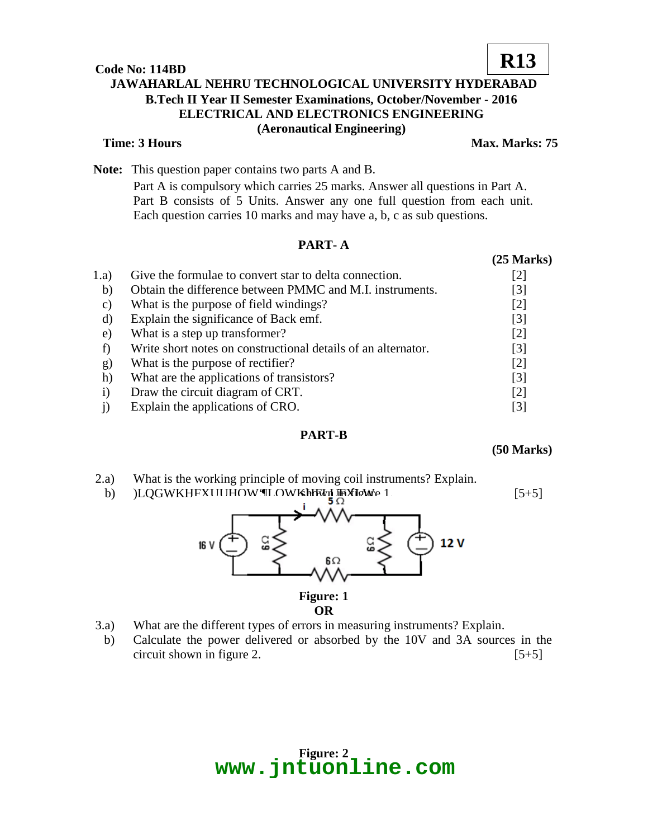## **Code No: 114BD JAWAHARLAL NEHRU TECHNOLOGICAL UNIVERSITY HYDERABAD B.Tech II Year II Semester Examinations, October/November - 2016 ELECTRICAL AND ELECTRONICS ENGINEERING (Aeronautical Engineering) R13**

### **Time: 3 Hours Max. Marks: 75**

**Note:** This question paper contains two parts A and B.

Part A is compulsory which carries 25 marks. Answer all questions in Part A. Part B consists of 5 Units. Answer any one full question from each unit. Each question carries 10 marks and may have a, b, c as sub questions.

# **PART- A**

| 1.a)         | Give the formulae to convert star to delta connection.        | [2]               |
|--------------|---------------------------------------------------------------|-------------------|
| b)           | Obtain the difference between PMMC and M.I. instruments.      | $\lceil 3 \rceil$ |
| C)           | What is the purpose of field windings?                        | [2]               |
| d)           | Explain the significance of Back emf.                         | [3]               |
| e)           | What is a step up transformer?                                | [2]               |
|              | Write short notes on constructional details of an alternator. | [3]               |
| $\mathbf{g}$ | What is the purpose of rectifier?                             | $\lceil 2 \rceil$ |
| h)           | What are the applications of transistors?                     | [3]               |
| $\bf{1)}$    | Draw the circuit diagram of CRT.                              | $\lceil 2 \rceil$ |
|              | Explain the applications of CRO.                              | [3]               |

# **PART-B**

# **(50 Marks)**

- 2.a) What is the working principle of moving coil instruments? Explain.
	- b) Find the current 'I' in the circuit shown in figure 1.  $[5+5]$



### **OR**

- 3.a) What are the different types of errors in measuring instruments? Explain.
- b) Calculate the power delivered or absorbed by the 10V and 3A sources in the circuit shown in figure 2.  $[5+5]$



**(25 Marks)**